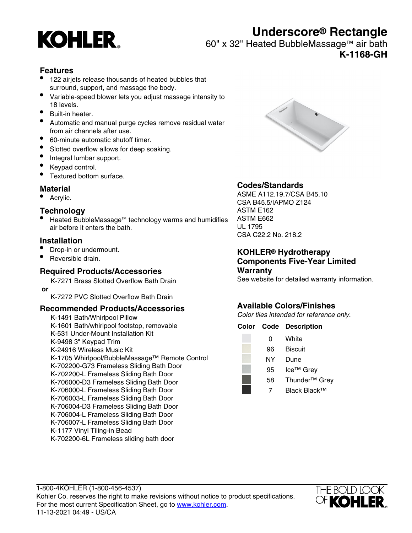

# **Underscore® Rectangle**

60" x 32" Heated BubbleMassage™ air bath

**K-1168-GH**

### **Features**

- 122 airjets release thousands of heated bubbles that surround, support, and massage the body.
- Variable-speed blower lets you adjust massage intensity to 18 levels.
- Built-in heater.
- Automatic and manual purge cycles remove residual water from air channels after use.
- 60-minute automatic shutoff timer.
- Slotted overflow allows for deep soaking.
- Integral lumbar support.
- Keypad control.
- Textured bottom surface.

#### **Material**

• Acrylic.

#### **Technology**

• Heated BubbleMassage™ technology warms and humidifies air before it enters the bath.

#### **Installation**

- Drop-in or undermount.
- Reversible drain.

#### **Required Products/Accessories**

K-7271 Brass Slotted Overflow Bath Drain  **or**

K-7272 PVC Slotted Overflow Bath Drain

#### **Recommended Products/Accessories**

K-1491 Bath/Whirlpool Pillow K-1601 Bath/whirlpool footstop, removable K-531 Under-Mount Installation Kit K-9498 3" Keypad Trim K-24916 Wireless Music Kit K-1705 Whirlpool/BubbleMassage™ Remote Control K-702200-G73 Frameless Sliding Bath Door K-702200-L Frameless Sliding Bath Door K-706000-D3 Frameless Sliding Bath Door K-706000-L Frameless Sliding Bath Door K-706003-L Frameless Sliding Bath Door K-706004-D3 Frameless Sliding Bath Door K-706004-L Frameless Sliding Bath Door K-706007-L Frameless Sliding Bath Door K-1177 Vinyl Tiling-in Bead K-702200-6L Frameless sliding bath door



#### **Codes/Standards**

ASME A112.19.7/CSA B45.10 CSA B45.5/IAPMO Z124 ASTM E162 ASTM E662 UL 1795 CSA C22.2 No. 218.2

#### **KOHLER® Hydrotherapy Components Five-Year Limited Warranty**

See website for detailed warranty information.

# **Available Colors/Finishes**

Color tiles intended for reference only.

|    | <b>Color Code Description</b> |
|----|-------------------------------|
| 0  | White                         |
| 96 | <b>Biscuit</b>                |
| ΝY | Dune                          |
| 95 | Ice <sup>™</sup> Grey         |
| 58 | Thunder <sup>™</sup> Grey     |
|    | Black Black™                  |